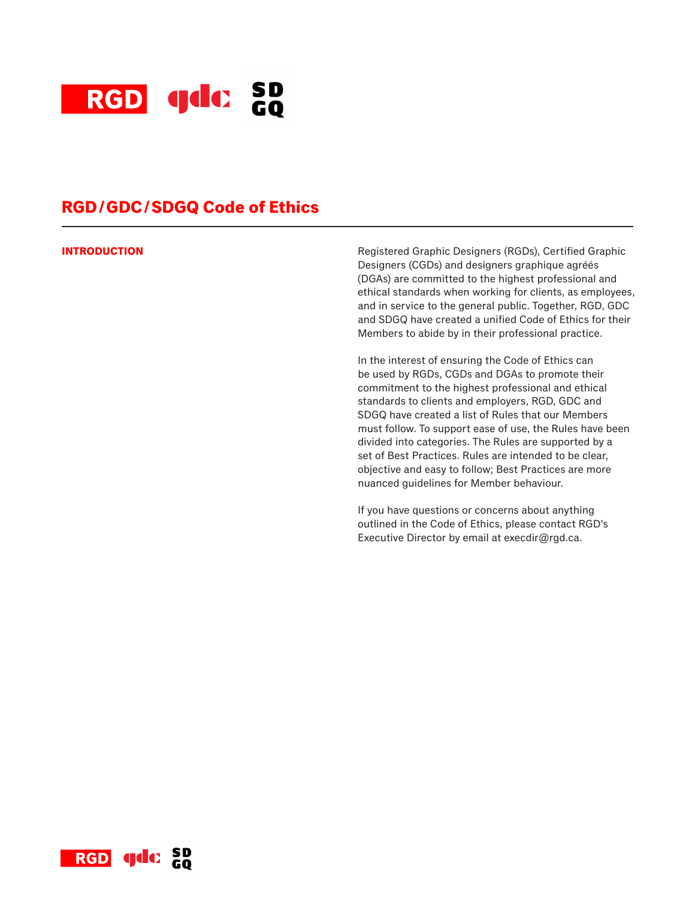

# **RGD/GDC/SDGQ Code of Ethics**

**INTRODUCTION Registered Graphic Designers (RGDs), Certified Graphic Designers (RGDs), Certified Graphic** Designers (CGDs) and designers graphique agréés (DGAs) are committed to the highest professional and ethical standards when working for clients, as employees, and in service to the general public. Together, RGD, GDC and SDGQ have created a unified Code of Ethics for their Members to abide by in their professional practice.

> In the interest of ensuring the Code of Ethics can be used by RGDs, CGDs and DGAs to promote their commitment to the highest professional and ethical standards to clients and employers, RGD, GDC and SDGQ have created a list of Rules that our Members must follow. To support ease of use, the Rules have been divided into categories. The Rules are supported by a set of Best Practices. Rules are intended to be clear, objective and easy to follow; Best Practices are more nuanced guidelines for Member behaviour.

If you have questions or concerns about anything outlined in the Code of Ethics, please contact RGD's Executive Director by email at execdir@rgd.ca.

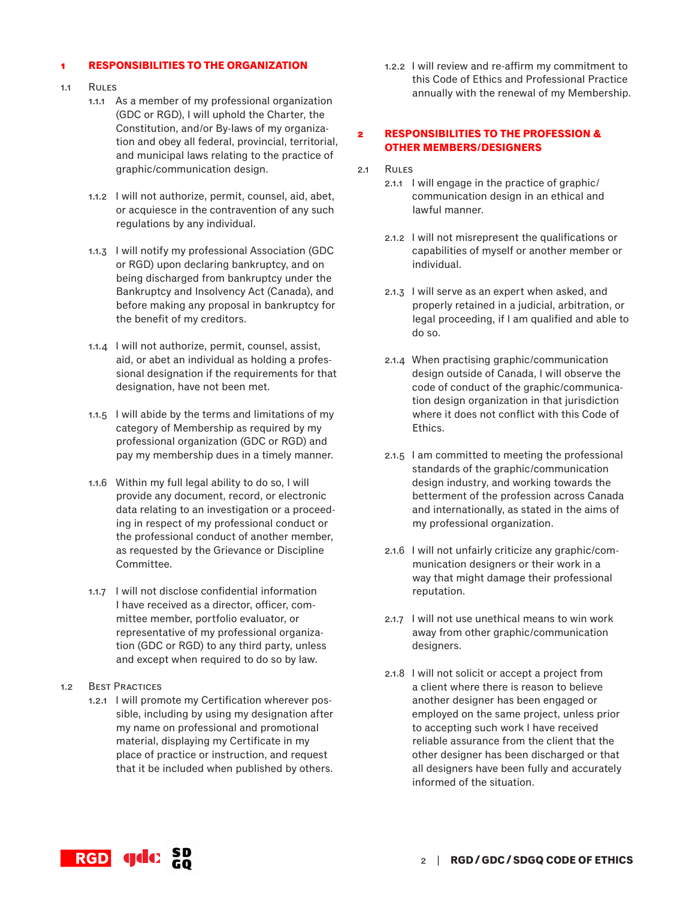## **1 RESPONSIBILITIES TO THE ORGANIZATION**

- 1.1 Rules
	- 1.1.1 As a member of my professional organization (GDC or RGD), I will uphold the Charter, the Constitution, and/or By-laws of my organization and obey all federal, provincial, territorial, and municipal laws relating to the practice of graphic/communication design.
	- 1.1.2 I will not authorize, permit, counsel, aid, abet, or acquiesce in the contravention of any such regulations by any individual.
	- 1.1.3 I will notify my professional Association (GDC or RGD) upon declaring bankruptcy, and on being discharged from bankruptcy under the Bankruptcy and Insolvency Act (Canada), and before making any proposal in bankruptcy for the benefit of my creditors.
	- 1.1.4 I will not authorize, permit, counsel, assist, aid, or abet an individual as holding a professional designation if the requirements for that designation, have not been met.
	- 1.1.5 I will abide by the terms and limitations of my category of Membership as required by my professional organization (GDC or RGD) and pay my membership dues in a timely manner.
	- 1.1.6 Within my full legal ability to do so, I will provide any document, record, or electronic data relating to an investigation or a proceeding in respect of my professional conduct or the professional conduct of another member, as requested by the Grievance or Discipline Committee.
	- 1.1.7 I will not disclose confidential information I have received as a director, officer, committee member, portfolio evaluator, or representative of my professional organization (GDC or RGD) to any third party, unless and except when required to do so by law.
- 1.2 Best Practices
	- 1.2.1 I will promote my Certification wherever possible, including by using my designation after my name on professional and promotional material, displaying my Certificate in my place of practice or instruction, and request that it be included when published by others.

1.2.2 I will review and re-affirm my commitment to this Code of Ethics and Professional Practice annually with the renewal of my Membership.

## **2 RESPONSIBILITIES TO THE PROFESSION & OTHER MEMBERS/DESIGNERS**

- 2.1 Rules
	- 2.1.1 I will engage in the practice of graphic/ communication design in an ethical and lawful manner.
	- 2.1.2 I will not misrepresent the qualifications or capabilities of myself or another member or individual.
	- 2.1.3 I will serve as an expert when asked, and properly retained in a judicial, arbitration, or legal proceeding, if I am qualified and able to do so.
	- 2.1.4 When practising graphic/communication design outside of Canada, I will observe the code of conduct of the graphic/communication design organization in that jurisdiction where it does not conflict with this Code of Ethics.
	- 2.1.5 I am committed to meeting the professional standards of the graphic/communication design industry, and working towards the betterment of the profession across Canada and internationally, as stated in the aims of my professional organization.
	- 2.1.6 I will not unfairly criticize any graphic/communication designers or their work in a way that might damage their professional reputation.
	- 2.1.7 I will not use unethical means to win work away from other graphic/communication designers.
	- 2.1.8 I will not solicit or accept a project from a client where there is reason to believe another designer has been engaged or employed on the same project, unless prior to accepting such work I have received reliable assurance from the client that the other designer has been discharged or that all designers have been fully and accurately informed of the situation.

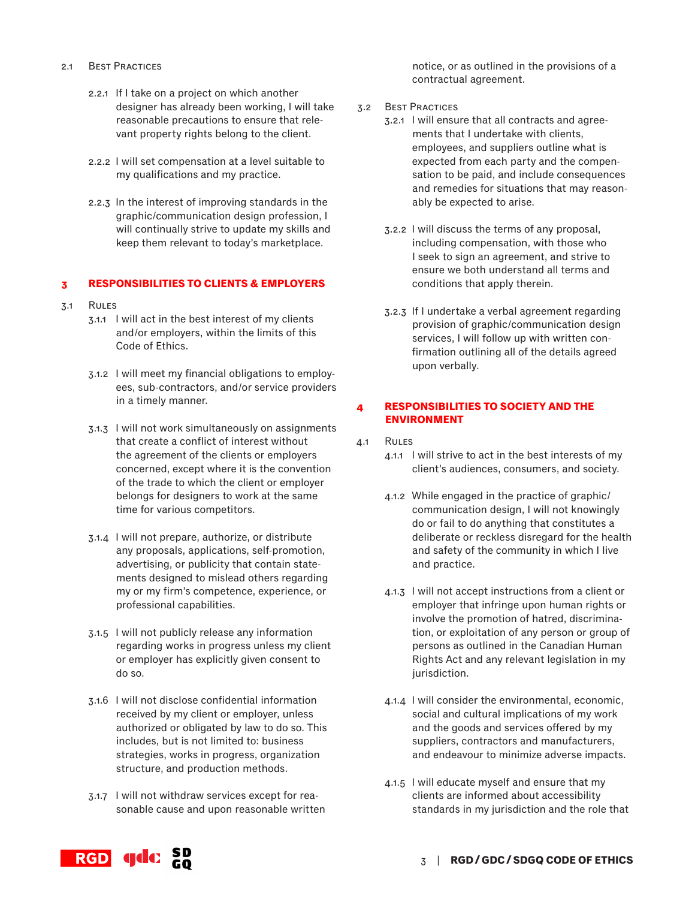- 2.1 Best Practices
	- 2.2.1 If I take on a project on which another designer has already been working, I will take reasonable precautions to ensure that relevant property rights belong to the client.
	- 2.2.2 I will set compensation at a level suitable to my qualifications and my practice.
	- 2.2.3 In the interest of improving standards in the graphic/communication design profession, I will continually strive to update my skills and keep them relevant to today's marketplace.

### **3 RESPONSIBILITIES TO CLIENTS & EMPLOYERS**

- 3.1 Rules
	- 3.1.1 I will act in the best interest of my clients and/or employers, within the limits of this Code of Ethics.
	- 3.1.2 I will meet my financial obligations to employees, sub-contractors, and/or service providers in a timely manner.
	- 3.1.3 I will not work simultaneously on assignments that create a conflict of interest without the agreement of the clients or employers concerned, except where it is the convention of the trade to which the client or employer belongs for designers to work at the same time for various competitors.
	- 3.1.4 I will not prepare, authorize, or distribute any proposals, applications, self-promotion, advertising, or publicity that contain statements designed to mislead others regarding my or my firm's competence, experience, or professional capabilities.
	- 3.1.5 I will not publicly release any information regarding works in progress unless my client or employer has explicitly given consent to do so.
	- 3.1.6 I will not disclose confidential information received by my client or employer, unless authorized or obligated by law to do so. This includes, but is not limited to: business strategies, works in progress, organization structure, and production methods.
	- 3.1.7 I will not withdraw services except for reasonable cause and upon reasonable written

notice, or as outlined in the provisions of a contractual agreement.

- 3.2 Best Practices
	- 3.2.1 I will ensure that all contracts and agreements that I undertake with clients, employees, and suppliers outline what is expected from each party and the compensation to be paid, and include consequences and remedies for situations that may reasonably be expected to arise.
	- 3.2.2 I will discuss the terms of any proposal, including compensation, with those who I seek to sign an agreement, and strive to ensure we both understand all terms and conditions that apply therein.
	- 3.2.3 If I undertake a verbal agreement regarding provision of graphic/communication design services, I will follow up with written confirmation outlining all of the details agreed upon verbally.

# **4 RESPONSIBILITIES TO SOCIETY AND THE ENVIRONMENT**

- 4.1 Rules
	- 4.1.1 I will strive to act in the best interests of my client's audiences, consumers, and society.
	- 4.1.2 While engaged in the practice of graphic/ communication design, I will not knowingly do or fail to do anything that constitutes a deliberate or reckless disregard for the health and safety of the community in which I live and practice.
	- 4.1.3 I will not accept instructions from a client or employer that infringe upon human rights or involve the promotion of hatred, discrimination, or exploitation of any person or group of persons as outlined in the Canadian Human Rights Act and any relevant legislation in my jurisdiction.
	- 4.1.4 I will consider the environmental, economic, social and cultural implications of my work and the goods and services offered by my suppliers, contractors and manufacturers, and endeavour to minimize adverse impacts.
	- 4.1.5 I will educate myself and ensure that my clients are informed about accessibility standards in my jurisdiction and the role that

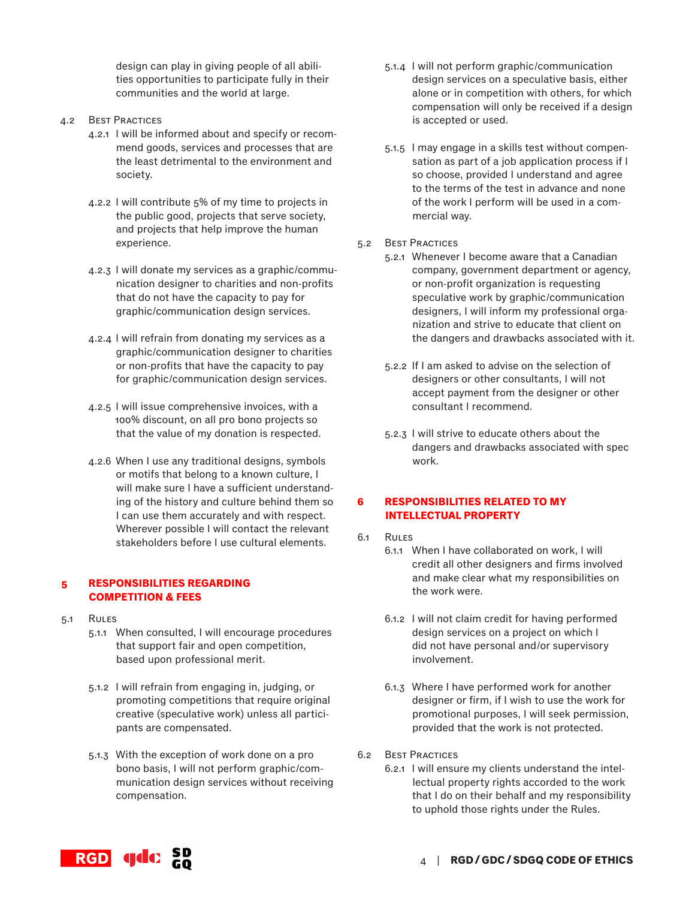design can play in giving people of all abilities opportunities to participate fully in their communities and the world at large.

- 4.2 Best Practices
	- 4.2.1 I will be informed about and specify or recommend goods, services and processes that are the least detrimental to the environment and society.
	- 4.2.2 I will contribute 5% of my time to projects in the public good, projects that serve society, and projects that help improve the human experience.
	- 4.2.3 I will donate my services as a graphic/communication designer to charities and non-profits that do not have the capacity to pay for graphic/communication design services.
	- 4.2.4 I will refrain from donating my services as a graphic/communication designer to charities or non-profits that have the capacity to pay for graphic/communication design services.
	- 4.2.5 I will issue comprehensive invoices, with a 100% discount, on all pro bono projects so that the value of my donation is respected.
	- 4.2.6 When I use any traditional designs, symbols or motifs that belong to a known culture, I will make sure I have a sufficient understanding of the history and culture behind them so I can use them accurately and with respect. Wherever possible I will contact the relevant stakeholders before I use cultural elements.

# **5 RESPONSIBILITIES REGARDING COMPETITION & FEES**

- 5.1 Rules
	- 5.1.1 When consulted, I will encourage procedures that support fair and open competition, based upon professional merit.
	- 5.1.2 I will refrain from engaging in, judging, or promoting competitions that require original creative (speculative work) unless all participants are compensated.
	- 5.1.3 With the exception of work done on a pro bono basis, I will not perform graphic/communication design services without receiving compensation.
- 5.1.4 I will not perform graphic/communication design services on a speculative basis, either alone or in competition with others, for which compensation will only be received if a design is accepted or used.
- 5.1.5 I may engage in a skills test without compensation as part of a job application process if I so choose, provided I understand and agree to the terms of the test in advance and none of the work I perform will be used in a commercial way.
- 5.2 Best Practices
	- 5.2.1 Whenever I become aware that a Canadian company, government department or agency, or non-profit organization is requesting speculative work by graphic/communication designers, I will inform my professional organization and strive to educate that client on the dangers and drawbacks associated with it.
	- 5.2.2 If I am asked to advise on the selection of designers or other consultants, I will not accept payment from the designer or other consultant I recommend.
	- 5.2.3 I will strive to educate others about the dangers and drawbacks associated with spec work.

# **6 RESPONSIBILITIES RELATED TO MY INTELLECTUAL PROPERTY**

- 6.1 Rules
	- 6.1.1 When I have collaborated on work, I will credit all other designers and firms involved and make clear what my responsibilities on the work were.
	- 6.1.2 I will not claim credit for having performed design services on a project on which I did not have personal and/or supervisory involvement.
	- 6.1.3 Where I have performed work for another designer or firm, if I wish to use the work for promotional purposes, I will seek permission, provided that the work is not protected.
- 6.2 Best Practices
	- 6.2.1 I will ensure my clients understand the intellectual property rights accorded to the work that I do on their behalf and my responsibility to uphold those rights under the Rules.

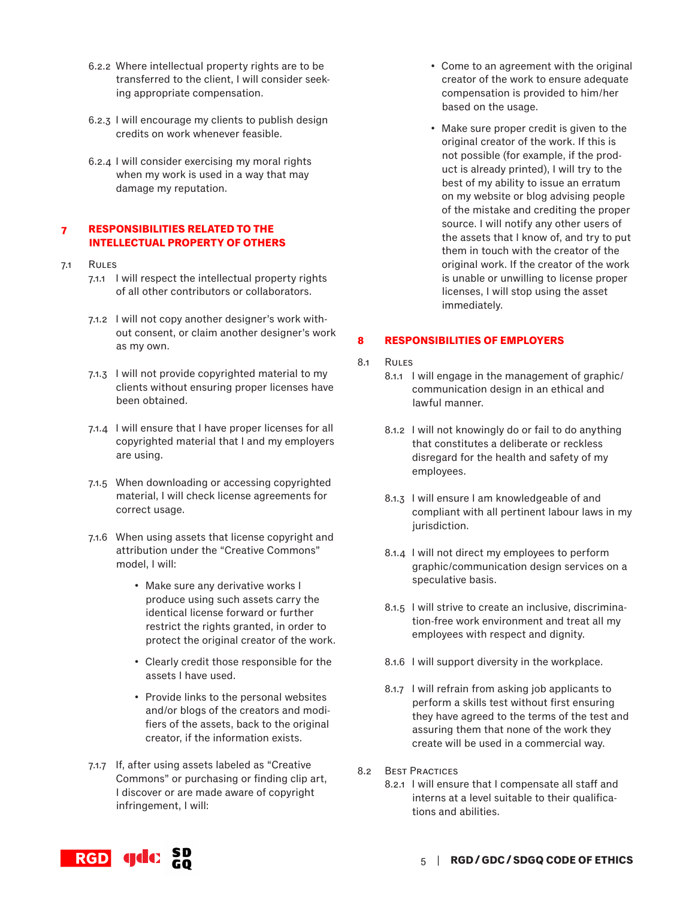- 6.2.2 Where intellectual property rights are to be transferred to the client, I will consider seeking appropriate compensation.
- 6.2.3 I will encourage my clients to publish design credits on work whenever feasible.
- 6.2.4 I will consider exercising my moral rights when my work is used in a way that may damage my reputation.

# **7 RESPONSIBILITIES RELATED TO THE INTELLECTUAL PROPERTY OF OTHERS**

- 7.1 Rules
	- 7.1.1 I will respect the intellectual property rights of all other contributors or collaborators.
	- 7.1.2 I will not copy another designer's work without consent, or claim another designer's work as my own.
	- 7.1.3 I will not provide copyrighted material to my clients without ensuring proper licenses have been obtained.
	- 7.1.4 I will ensure that I have proper licenses for all copyrighted material that I and my employers are using.
	- 7.1.5 When downloading or accessing copyrighted material, I will check license agreements for correct usage.
	- 7.1.6 When using assets that license copyright and attribution under the "Creative Commons" model, I will:
		- Make sure any derivative works I produce using such assets carry the identical license forward or further restrict the rights granted, in order to protect the original creator of the work.
		- Clearly credit those responsible for the assets I have used.
		- Provide links to the personal websites and/or blogs of the creators and modifiers of the assets, back to the original creator, if the information exists.
	- 7.1.7 If, after using assets labeled as "Creative Commons" or purchasing or finding clip art, I discover or are made aware of copyright infringement, I will:
- Come to an agreement with the original creator of the work to ensure adequate compensation is provided to him/her based on the usage.
- Make sure proper credit is given to the original creator of the work. If this is not possible (for example, if the product is already printed), I will try to the best of my ability to issue an erratum on my website or blog advising people of the mistake and crediting the proper source. I will notify any other users of the assets that I know of, and try to put them in touch with the creator of the original work. If the creator of the work is unable or unwilling to license proper licenses, I will stop using the asset immediately.

# **8 RESPONSIBILITIES OF EMPLOYERS**

- 8.1 Rules
	- 8.1.1 I will engage in the management of graphic/ communication design in an ethical and lawful manner.
		- 8.1.2 I will not knowingly do or fail to do anything that constitutes a deliberate or reckless disregard for the health and safety of my employees.
		- 8.1.3 I will ensure I am knowledgeable of and compliant with all pertinent labour laws in my jurisdiction.
		- 8.1.4 I will not direct my employees to perform graphic/communication design services on a speculative basis.
		- 8.1.5 I will strive to create an inclusive, discrimination-free work environment and treat all my employees with respect and dignity.
		- 8.1.6 I will support diversity in the workplace.
		- 8.1.7 I will refrain from asking job applicants to perform a skills test without first ensuring they have agreed to the terms of the test and assuring them that none of the work they create will be used in a commercial way.
- 8.2 Best Practices
	- 8.2.1 I will ensure that I compensate all staff and interns at a level suitable to their qualifications and abilities.